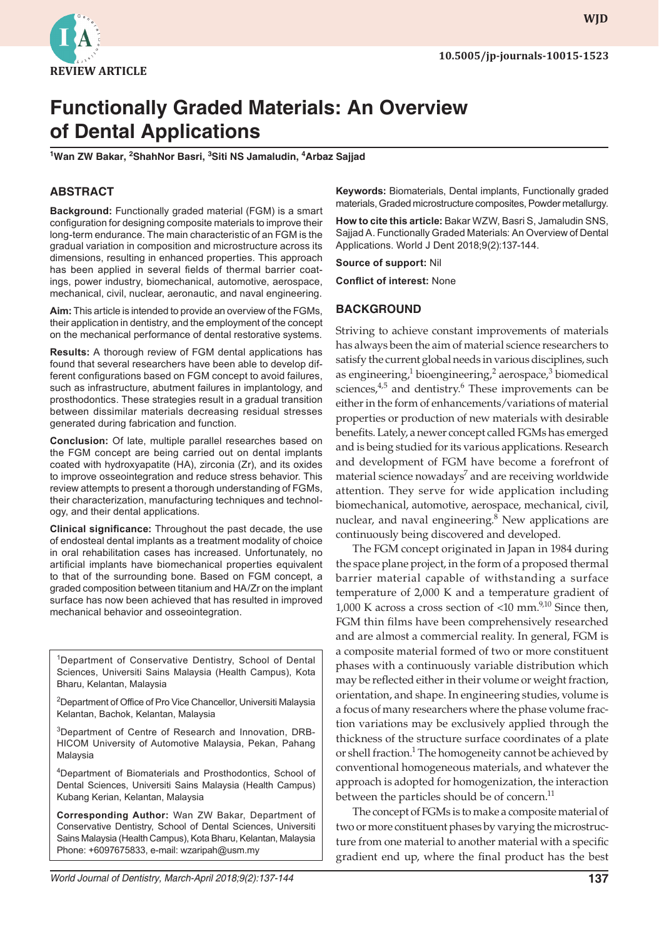

# **Functionally Graded Materials: An Overview of Dental Applications**

<sup>1</sup>Wan ZW Bakar, <sup>2</sup>ShahNor Basri, <sup>3</sup>Siti NS Jamaludin, <sup>4</sup>Arbaz Sajjad

# **ABSTRACT**

**Background:** Functionally graded material (FGM) is a smart configuration for designing composite materials to improve their long-term endurance. The main characteristic of an FGM is the gradual variation in composition and microstructure across its dimensions, resulting in enhanced properties. This approach has been applied in several fields of thermal barrier coatings, power industry, biomechanical, automotive, aerospace, mechanical, civil, nuclear, aeronautic, and naval engineering.

**Aim:** This article is intended to provide an overview of the FGMs, their application in dentistry, and the employment of the concept on the mechanical performance of dental restorative systems.

**Results:** A thorough review of FGM dental applications has found that several researchers have been able to develop different configurations based on FGM concept to avoid failures, such as infrastructure, abutment failures in implantology, and prosthodontics. These strategies result in a gradual transition between dissimilar materials decreasing residual stresses generated during fabrication and function.

**Conclusion:** Of late, multiple parallel researches based on the FGM concept are being carried out on dental implants coated with hydroxyapatite (HA), zirconia (Zr), and its oxides to improve osseointegration and reduce stress behavior. This review attempts to present a thorough understanding of FGMs, their characterization, manufacturing techniques and technology, and their dental applications.

**Clinical significance:** Throughout the past decade, the use of endosteal dental implants as a treatment modality of choice in oral rehabilitation cases has increased. Unfortunately, no artificial implants have biomechanical properties equivalent to that of the surrounding bone. Based on FGM concept, a graded composition between titanium and HA/Zr on the implant surface has now been achieved that has resulted in improved mechanical behavior and osseointegration.

<sup>1</sup>Department of Conservative Dentistry, School of Dental Sciences, Universiti Sains Malaysia (Health Campus), Kota Bharu, Kelantan, Malaysia

<sup>2</sup>Department of Office of Pro Vice Chancellor, Universiti Malaysia Kelantan, Bachok, Kelantan, Malaysia

<sup>3</sup>Department of Centre of Research and Innovation, DRB-HICOM University of Automotive Malaysia, Pekan, Pahang Malaysia

4 Department of Biomaterials and Prosthodontics, School of Dental Sciences, Universiti Sains Malaysia (Health Campus) Kubang Kerian, Kelantan, Malaysia

**Corresponding Author:** Wan ZW Bakar, Department of Conservative Dentistry, School of Dental Sciences, Universiti Sains Malaysia (Health Campus), Kota Bharu, Kelantan, Malaysia Phone: +6097675833, e-mail: wzaripah@usm.my

**Keywords:** Biomaterials, Dental implants, Functionally graded materials, Graded microstructure composites, Powder metallurgy.

**How to cite this article:** Bakar WZW, Basri S, Jamaludin SNS, Sajjad A. Functionally Graded Materials: An Overview of Dental Applications. World J Dent 2018;9(2):137-144.

**Source of support:** Nil

**Conflict of interest:** None

## **BACKGROUND**

Striving to achieve constant improvements of materials has always been the aim of material science researchers to satisfy the current global needs in various disciplines, such as engineering,<sup>1</sup> bioengineering,<sup>2</sup> aerospace,<sup>3</sup> biomedical sciences,<sup>4,5</sup> and dentistry.<sup>6</sup> These improvements can be either in the form of enhancements/variations of material properties or production of new materials with desirable benefits. Lately, a newer concept called FGMs has emerged and is being studied for its various applications. Research and development of FGM have become a forefront of material science nowadays<sup>7</sup> and are receiving worldwide attention. They serve for wide application including biomechanical, automotive, aerospace, mechanical, civil, nuclear, and naval engineering.<sup>8</sup> New applications are continuously being discovered and developed.

The FGM concept originated in Japan in 1984 during the space plane project, in the form of a proposed thermal barrier material capable of withstanding a surface temperature of 2,000 K and a temperature gradient of 1,000 K across a cross section of  $\langle 10 \text{ mm.}^{9,10}$  Since then, FGM thin films have been comprehensively researched and are almost a commercial reality. In general, FGM is a composite material formed of two or more constituent phases with a continuously variable distribution which may be reflected either in their volume or weight fraction, orientation, and shape. In engineering studies, volume is a focus of many researchers where the phase volume fraction variations may be exclusively applied through the thickness of the structure surface coordinates of a plate or shell fraction.<sup>1</sup> The homogeneity cannot be achieved by conventional homogeneous materials, and whatever the approach is adopted for homogenization, the interaction between the particles should be of concern.<sup>11</sup>

The concept of FGMs is to make a composite material of two or more constituent phases by varying the microstructure from one material to another material with a specific gradient end up, where the final product has the best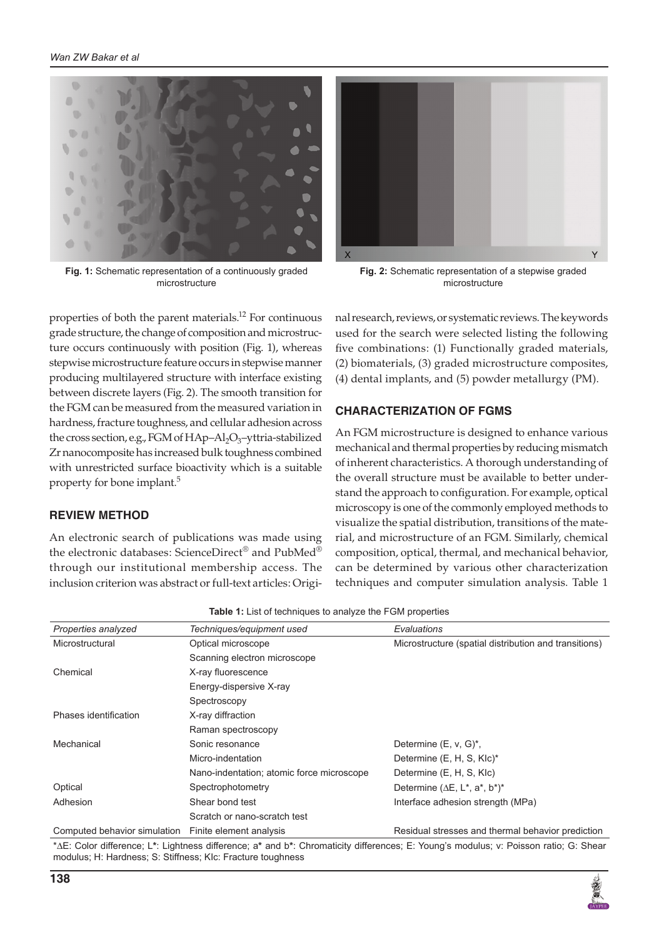

**Fig. 1:** Schematic representation of a continuously graded microstructure



**Fig. 2:** Schematic representation of a stepwise graded microstructure

properties of both the parent materials.12 For continuous grade structure, the change of composition and microstructure occurs continuously with position (Fig. 1), whereas stepwise microstructure feature occurs in stepwise manner producing multilayered structure with interface existing between discrete layers (Fig. 2). The smooth transition for the FGM can be measured from the measured variation in hardness, fracture toughness, and cellular adhesion across the cross section, e.g., FGM of  $HAp-Al<sub>2</sub>O<sub>3</sub>$ -yttria-stabilized Zr nanocomposite has increased bulk toughness combined with unrestricted surface bioactivity which is a suitable property for bone implant.5

# **REVIEW METHOD**

An electronic search of publications was made using the electronic databases: ScienceDirect® and PubMed® through our institutional membership access. The inclusion criterion was abstract or full-text articles: Original research, reviews, or systematic reviews. The keywords used for the search were selected listing the following five combinations: (1) Functionally graded materials, (2) biomaterials, (3) graded microstructure composites, (4) dental implants, and (5) powder metallurgy (PM).

# **CHARACTERIZATION OF FGMs**

An FGM microstructure is designed to enhance various mechanical and thermal properties by reducing mismatch of inherent characteristics. A thorough understanding of the overall structure must be available to better understand the approach to configuration. For example, optical microscopy is one of the commonly employed methods to visualize the spatial distribution, transitions of the material, and microstructure of an FGM. Similarly, chemical composition, optical, thermal, and mechanical behavior, can be determined by various other characterization techniques and computer simulation analysis. Table 1

| <b>Table 1.</b> LIST OF LEGITINGUES TO ATTAIN A FOR POINT DIODELITES |                                           |                                                                                          |
|----------------------------------------------------------------------|-------------------------------------------|------------------------------------------------------------------------------------------|
| Properties analyzed                                                  | Techniques/equipment used                 | Evaluations                                                                              |
| Microstructural                                                      | Optical microscope                        | Microstructure (spatial distribution and transitions)                                    |
|                                                                      | Scanning electron microscope              |                                                                                          |
| Chemical                                                             | X-ray fluorescence                        |                                                                                          |
|                                                                      | Energy-dispersive X-ray                   |                                                                                          |
|                                                                      | Spectroscopy                              |                                                                                          |
| Phases identification                                                | X-ray diffraction                         |                                                                                          |
|                                                                      | Raman spectroscopy                        |                                                                                          |
| Mechanical                                                           | Sonic resonance                           | Determine (E, v, G)*,                                                                    |
|                                                                      | Micro-indentation                         | Determine (E, H, S, KIc)*                                                                |
|                                                                      | Nano-indentation; atomic force microscope | Determine (E, H, S, KIc)                                                                 |
| Optical                                                              | Spectrophotometry                         | Determine ( $\Delta E$ , L <sup>*</sup> , a <sup>*</sup> , b <sup>*</sup> ) <sup>*</sup> |
| Adhesion                                                             | Shear bond test                           | Interface adhesion strength (MPa)                                                        |
|                                                                      | Scratch or nano-scratch test              |                                                                                          |
| Computed behavior simulation                                         | Finite element analysis                   | Residual stresses and thermal behavior prediction                                        |

**Table 1:** List of techniques to analyze the FGM properties

\*ΔE: Color difference; L**\***: Lightness difference; a**\*** and b**\***: Chromaticity differences; E: Young's modulus; ν: Poisson ratio; G: shear modulus; H: Hardness; S: Stiffness; KIc: Fracture toughness

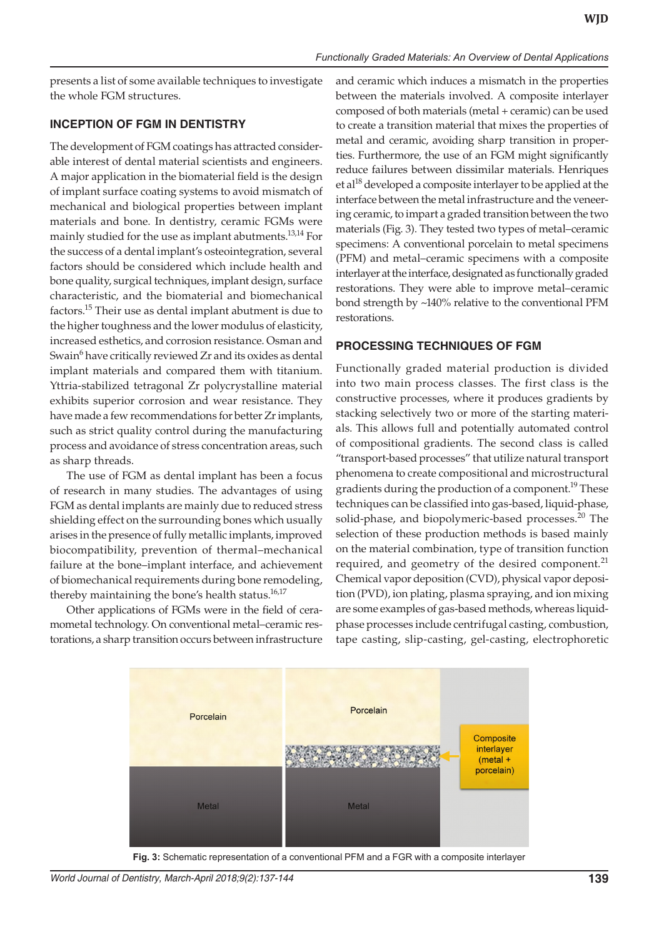presents a list of some available techniques to investigate the whole FGM structures.

#### **INCEPTION OF FGM IN DENTISTRY**

The development of FGM coatings has attracted considerable interest of dental material scientists and engineers. A major application in the biomaterial field is the design of implant surface coating systems to avoid mismatch of mechanical and biological properties between implant materials and bone. In dentistry, ceramic FGMs were mainly studied for the use as implant abutments.<sup>13,14</sup> For the success of a dental implant's osteointegration, several factors should be considered which include health and bone quality, surgical techniques, implant design, surface characteristic, and the biomaterial and biomechanical factors.15 Their use as dental implant abutment is due to the higher toughness and the lower modulus of elasticity, increased esthetics, and corrosion resistance. Osman and Swain<sup>6</sup> have critically reviewed Zr and its oxides as dental implant materials and compared them with titanium. Yttria-stabilized tetragonal Zr polycrystalline material exhibits superior corrosion and wear resistance. They have made a few recommendations for better Zr implants, such as strict quality control during the manufacturing process and avoidance of stress concentration areas, such as sharp threads.

The use of FGM as dental implant has been a focus of research in many studies. The advantages of using FGM as dental implants are mainly due to reduced stress shielding effect on the surrounding bones which usually arises in the presence of fully metallic implants, improved biocompatibility, prevention of thermal–mechanical failure at the bone–implant interface, and achievement of biomechanical requirements during bone remodeling, thereby maintaining the bone's health status. $16,17$ 

Other applications of FGMs were in the field of ceramometal technology. On conventional metal–ceramic restorations, a sharp transition occurs between infrastructure and ceramic which induces a mismatch in the properties between the materials involved. A composite interlayer composed of both materials (metal + ceramic) can be used to create a transition material that mixes the properties of metal and ceramic, avoiding sharp transition in properties. Furthermore, the use of an FGM might significantly reduce failures between dissimilar materials. Henriques et al<sup>18</sup> developed a composite interlayer to be applied at the interface between the metal infrastructure and the veneering ceramic, to impart a graded transition between the two materials (Fig. 3). They tested two types of metal–ceramic specimens: A conventional porcelain to metal specimens (PFM) and metal–ceramic specimens with a composite interlayer at the interface, designated as functionally graded restorations. They were able to improve metal–ceramic bond strength by ~140% relative to the conventional PFM restorations.

## **PROCESSING TECHNIQUES OF FGM**

Functionally graded material production is divided into two main process classes. The first class is the constructive processes, where it produces gradients by stacking selectively two or more of the starting materials. This allows full and potentially automated control of compositional gradients. The second class is called "transport-based processes" that utilize natural transport phenomena to create compositional and microstructural gradients during the production of a component.<sup>19</sup> These techniques can be classified into gas-based, liquid-phase, solid-phase, and biopolymeric-based processes.<sup>20</sup> The selection of these production methods is based mainly on the material combination, type of transition function required, and geometry of the desired component. $^{21}$ Chemical vapor deposition (CVD), physical vapor deposition (PVD), ion plating, plasma spraying, and ion mixing are some examples of gas-based methods, whereas liquidphase processes include centrifugal casting, combustion, tape casting, slip-casting, gel-casting, electrophoretic



**Fig. 3:** Schematic representation of a conventional PFM and a FGR with a composite interlayer

*World Journal of Dentistry, March-April 2018;9(2):137-144* **139**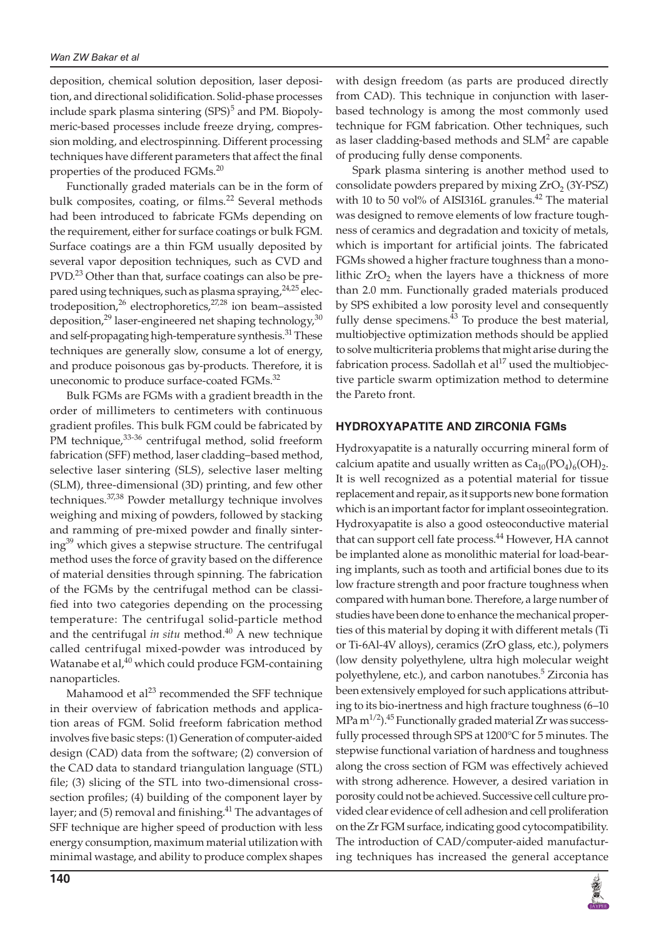deposition, chemical solution deposition, laser deposition, and directional solidification. Solid-phase processes include spark plasma sintering (SPS)<sup>5</sup> and PM. Biopolymeric-based processes include freeze drying, compression molding, and electrospinning. Different processing techniques have different parameters that affect the final properties of the produced FGMs.<sup>20</sup>

Functionally graded materials can be in the form of bulk composites, coating, or films.<sup>22</sup> Several methods had been introduced to fabricate FGMs depending on the requirement, either for surface coatings or bulk FGM. Surface coatings are a thin FGM usually deposited by several vapor deposition techniques, such as CVD and PVD.<sup>23</sup> Other than that, surface coatings can also be prepared using techniques, such as plasma spraying, $24,25$  electrodeposition,<sup>26</sup> electrophoretics,<sup>27,28</sup> ion beam-assisted deposition,<sup>29</sup> laser-engineered net shaping technology,<sup>30</sup> and self-propagating high-temperature synthesis.<sup>31</sup> These techniques are generally slow, consume a lot of energy, and produce poisonous gas by-products. Therefore, it is uneconomic to produce surface-coated FGMs. $^{32}$ 

Bulk FGMs are FGMs with a gradient breadth in the order of millimeters to centimeters with continuous gradient profiles. This bulk FGM could be fabricated by PM technique, 33-36 centrifugal method, solid freeform fabrication (SFF) method, laser cladding–based method, selective laser sintering (SLS), selective laser melting (SLM), three-dimensional (3D) printing, and few other techniques.37,38 Powder metallurgy technique involves weighing and mixing of powders, followed by stacking and ramming of pre-mixed powder and finally sintering<sup>39</sup> which gives a stepwise structure. The centrifugal method uses the force of gravity based on the difference of material densities through spinning. The fabrication of the FGMs by the centrifugal method can be classified into two categories depending on the processing temperature: The centrifugal solid-particle method and the centrifugal *in situ* method.<sup>40</sup> A new technique called centrifugal mixed-powder was introduced by Watanabe et al, $40$  which could produce FGM-containing nanoparticles.

Mahamood et al $^{23}$  recommended the SFF technique in their overview of fabrication methods and application areas of FGM. Solid freeform fabrication method involves five basic steps: (1) Generation of computer-aided design (CAD) data from the software; (2) conversion of the CAD data to standard triangulation language (STL) file; (3) slicing of the STL into two-dimensional crosssection profiles; (4) building of the component layer by layer; and (5) removal and finishing. $^{41}$  The advantages of SFF technique are higher speed of production with less energy consumption, maximum material utilization with minimal wastage, and ability to produce complex shapes

with design freedom (as parts are produced directly from CAD). This technique in conjunction with laserbased technology is among the most commonly used technique for FGM fabrication. Other techniques, such as laser cladding-based methods and  $SLM<sup>2</sup>$  are capable of producing fully dense components.

Spark plasma sintering is another method used to consolidate powders prepared by mixing  $ZrO<sub>2</sub>$  (3Y-PSZ) with 10 to 50 vol% of AISI316L granules. $42$  The material was designed to remove elements of low fracture toughness of ceramics and degradation and toxicity of metals, which is important for artificial joints. The fabricated FGMs showed a higher fracture toughness than a monolithic  $ZrO<sub>2</sub>$  when the layers have a thickness of more than 2.0 mm. Functionally graded materials produced by SPS exhibited a low porosity level and consequently fully dense specimens. $43$  To produce the best material, multiobjective optimization methods should be applied to solve multicriteria problems that might arise during the fabrication process. Sadollah et al<sup>17</sup> used the multiobjective particle swarm optimization method to determine the Pareto front.

#### **HYDROXYAPATITE AND ZIRCONIA FGMs**

Hydroxyapatite is a naturally occurring mineral form of calcium apatite and usually written as  $Ca_{10}(PO_4)_6(OH)_2$ . It is well recognized as a potential material for tissue replacement and repair, as it supports new bone formation which is an important factor for implant osseointegration. Hydroxyapatite is also a good osteoconductive material that can support cell fate process.<sup>44</sup> However, HA cannot be implanted alone as monolithic material for load-bearing implants, such as tooth and artificial bones due to its low fracture strength and poor fracture toughness when compared with human bone. Therefore, a large number of studies have been done to enhance the mechanical properties of this material by doping it with different metals (Ti or Ti-6Al-4V alloys), ceramics (ZrO glass, etc.), polymers (low density polyethylene, ultra high molecular weight polyethylene, etc.), and carbon nanotubes.<sup>5</sup> Zirconia has been extensively employed for such applications attributing to its bio-inertness and high fracture toughness (6–10 MPa  $m^{1/2}$ ).<sup>45</sup> Functionally graded material Zr was successfully processed through SPS at 1200°C for 5 minutes. The stepwise functional variation of hardness and toughness along the cross section of FGM was effectively achieved with strong adherence. However, a desired variation in porosity could not be achieved. Successive cell culture provided clear evidence of cell adhesion and cell proliferation on the Zr FGM surface, indicating good cytocompatibility. The introduction of CAD/computer-aided manufacturing techniques has increased the general acceptance

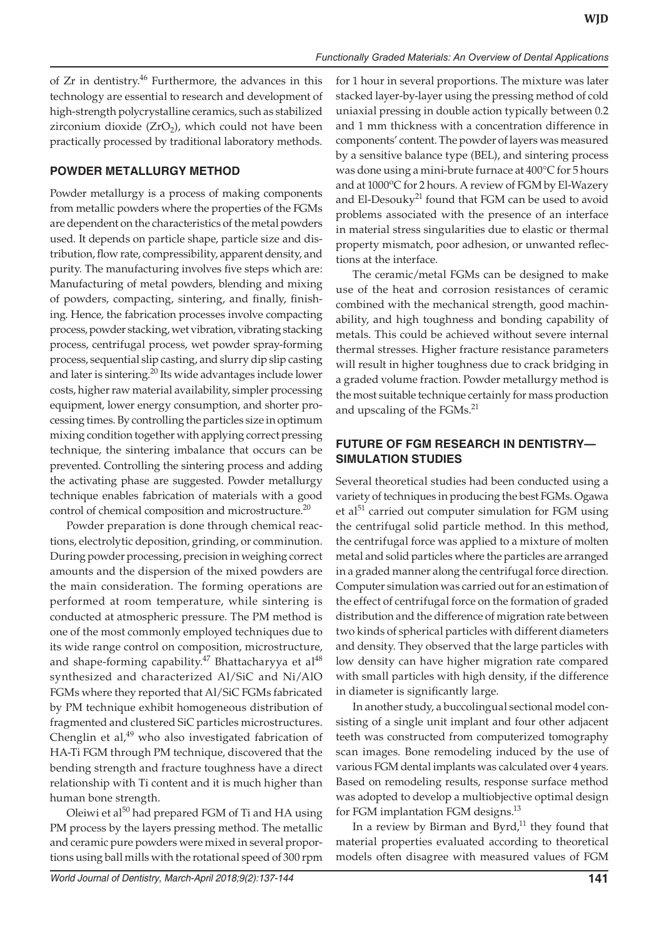of Zr in dentistry.<sup>46</sup> Furthermore, the advances in this technology are essential to research and development of high-strength polycrystalline ceramics, such as stabilized zirconium dioxide  $(ZrO<sub>2</sub>)$ , which could not have been practically processed by traditional laboratory methods.

## **powder metallurgy METHOD**

Powder metallurgy is a process of making components from metallic powders where the properties of the FGMs are dependent on the characteristics of the metal powders used. It depends on particle shape, particle size and distribution, flow rate, compressibility, apparent density, and purity. The manufacturing involves five steps which are: Manufacturing of metal powders, blending and mixing of powders, compacting, sintering, and finally, finishing. Hence, the fabrication processes involve compacting process, powder stacking, wet vibration, vibrating stacking process, centrifugal process, wet powder spray-forming process, sequential slip casting, and slurry dip slip casting and later is sintering.<sup>20</sup> Its wide advantages include lower costs, higher raw material availability, simpler processing equipment, lower energy consumption, and shorter processing times. By controlling the particles size in optimum mixing condition together with applying correct pressing technique, the sintering imbalance that occurs can be prevented. Controlling the sintering process and adding the activating phase are suggested. Powder metallurgy technique enables fabrication of materials with a good control of chemical composition and microstructure.<sup>20</sup>

Powder preparation is done through chemical reactions, electrolytic deposition, grinding, or comminution. During powder processing, precision in weighing correct amounts and the dispersion of the mixed powders are the main consideration. The forming operations are performed at room temperature, while sintering is conducted at atmospheric pressure. The PM method is one of the most commonly employed techniques due to its wide range control on composition, microstructure, and shape-forming capability.<sup>47</sup> Bhattacharyya et al<sup>48</sup> synthesized and characterized Al/SiC and Ni/AlO FGMs where they reported that Al/SiC FGMs fabricated by PM technique exhibit homogeneous distribution of fragmented and clustered SiC particles microstructures. Chenglin et al, $49$  who also investigated fabrication of HA-Ti FGM through PM technique, discovered that the bending strength and fracture toughness have a direct relationship with Ti content and it is much higher than human bone strength.

Oleiwi et al<sup>50</sup> had prepared FGM of Ti and HA using PM process by the layers pressing method. The metallic and ceramic pure powders were mixed in several proportions using ball mills with the rotational speed of 300 rpm

for 1 hour in several proportions. The mixture was later stacked layer-by-layer using the pressing method of cold uniaxial pressing in double action typically between 0.2 and 1 mm thickness with a concentration difference in components' content. The powder of layers was measured by a sensitive balance type (BEL), and sintering process was done using a mini-brute furnace at 400°C for 5 hours and at 1000°C for 2 hours. A review of FGM by El-Wazery and El-Desouky<sup>21</sup> found that FGM can be used to avoid problems associated with the presence of an interface in material stress singularities due to elastic or thermal property mismatch, poor adhesion, or unwanted reflections at the interface. The ceramic/metal FGMs can be designed to make

use of the heat and corrosion resistances of ceramic combined with the mechanical strength, good machinability, and high toughness and bonding capability of metals. This could be achieved without severe internal thermal stresses. Higher fracture resistance parameters will result in higher toughness due to crack bridging in a graded volume fraction. Powder metallurgy method is the most suitable technique certainly for mass production and upscaling of the FGMs.<sup>21</sup>

# **FUTURE OF FGM RESEARCH IN DENTISTRY— SIMULATION STUDIES**

Several theoretical studies had been conducted using a variety of techniques in producing the best FGMs. Ogawa et al<sup>51</sup> carried out computer simulation for FGM using the centrifugal solid particle method. In this method, the centrifugal force was applied to a mixture of molten metal and solid particles where the particles are arranged in a graded manner along the centrifugal force direction. Computer simulation was carried out for an estimation of the effect of centrifugal force on the formation of graded distribution and the difference of migration rate between two kinds of spherical particles with different diameters and density. They observed that the large particles with low density can have higher migration rate compared with small particles with high density, if the difference in diameter is significantly large.

In another study, a buccolingual sectional model consisting of a single unit implant and four other adjacent teeth was constructed from computerized tomography scan images. Bone remodeling induced by the use of various FGM dental implants was calculated over 4 years. Based on remodeling results, response surface method was adopted to develop a multiobjective optimal design for FGM implantation FGM designs.<sup>13</sup>

In a review by Birman and Byrd, $11$  they found that material properties evaluated according to theoretical models often disagree with measured values of FGM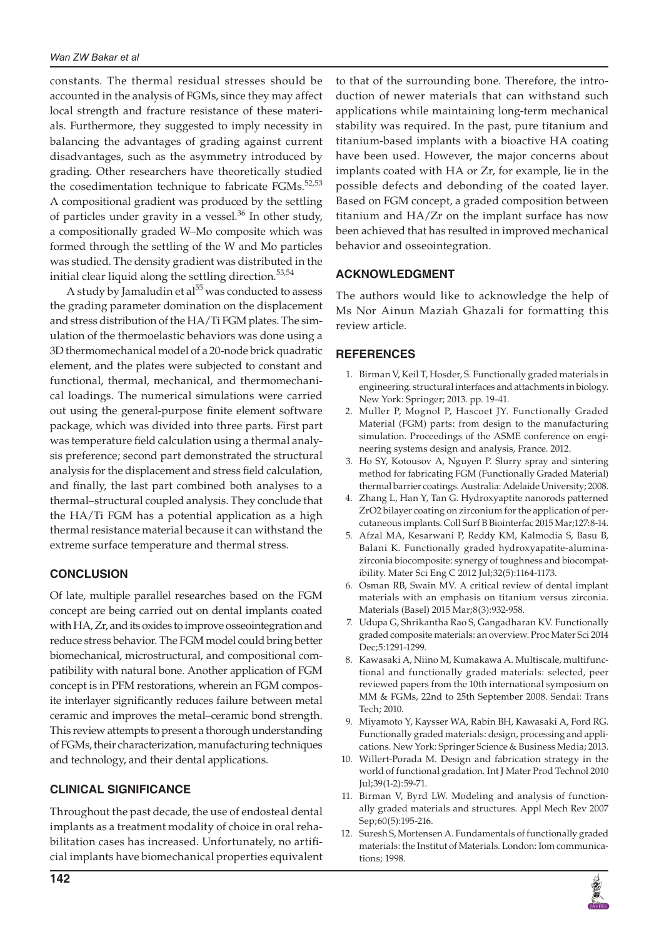constants. The thermal residual stresses should be accounted in the analysis of FGMs, since they may affect local strength and fracture resistance of these materials. Furthermore, they suggested to imply necessity in balancing the advantages of grading against current disadvantages, such as the asymmetry introduced by grading. Other researchers have theoretically studied the cosedimentation technique to fabricate FGMs.<sup>52,53</sup> A compositional gradient was produced by the settling of particles under gravity in a vessel.<sup>36</sup> In other study, a compositionally graded W–Mo composite which was formed through the settling of the W and Mo particles was studied. The density gradient was distributed in the initial clear liquid along the settling direction.<sup>53,54</sup>

A study by Jamaludin et  $al<sup>55</sup>$  was conducted to assess the grading parameter domination on the displacement and stress distribution of the HA/Ti FGM plates. The simulation of the thermoelastic behaviors was done using a 3D thermomechanical model of a 20-node brick quadratic element, and the plates were subjected to constant and functional, thermal, mechanical, and thermomechanical loadings. The numerical simulations were carried out using the general-purpose finite element software package, which was divided into three parts. First part was temperature field calculation using a thermal analysis preference; second part demonstrated the structural analysis for the displacement and stress field calculation, and finally, the last part combined both analyses to a thermal–structural coupled analysis. They conclude that the HA/Ti FGM has a potential application as a high thermal resistance material because it can withstand the extreme surface temperature and thermal stress.

# **CONCLUSION**

Of late, multiple parallel researches based on the FGM concept are being carried out on dental implants coated with HA, Zr, and its oxides to improve osseointegration and reduce stress behavior. The FGM model could bring better biomechanical, microstructural, and compositional compatibility with natural bone. Another application of FGM concept is in PFM restorations, wherein an FGM composite interlayer significantly reduces failure between metal ceramic and improves the metal–ceramic bond strength. This review attempts to present a thorough understanding of FGMs, their characterization, manufacturing techniques and technology, and their dental applications.

# **Clinical Significance**

Throughout the past decade, the use of endosteal dental implants as a treatment modality of choice in oral rehabilitation cases has increased. Unfortunately, no artificial implants have biomechanical properties equivalent

to that of the surrounding bone. Therefore, the introduction of newer materials that can withstand such applications while maintaining long-term mechanical stability was required. In the past, pure titanium and titanium-based implants with a bioactive HA coating have been used. However, the major concerns about implants coated with HA or Zr, for example, lie in the possible defects and debonding of the coated layer. Based on FGM concept, a graded composition between titanium and HA/Zr on the implant surface has now been achieved that has resulted in improved mechanical behavior and osseointegration.

## **ACKNOWLEDGMENT**

The authors would like to acknowledge the help of Ms Nor Ainun Maziah Ghazali for formatting this review article.

## **REFERENCES**

- 1. Birman V, Keil T, Hosder, S. Functionally graded materials in engineering. structural interfaces and attachments in biology. New York: Springer; 2013. pp. 19-41.
- 2. Muller P, Mognol P, Hascoet JY. Functionally Graded Material (FGM) parts: from design to the manufacturing simulation. Proceedings of the ASME conference on engineering systems design and analysis, France. 2012.
- 3. Ho SY, Kotousov A, Nguyen P. Slurry spray and sintering method for fabricating FGM (Functionally Graded Material) thermal barrier coatings. Australia: Adelaide University; 2008.
- 4. Zhang L, Han Y, Tan G. Hydroxyaptite nanorods patterned ZrO2 bilayer coating on zirconium for the application of percutaneous implants. Coll Surf B Biointerfac 2015 Mar;127:8-14.
- 5. Afzal MA, Kesarwani P, Reddy KM, Kalmodia S, Basu B, Balani K. Functionally graded hydroxyapatite-aluminazirconia biocomposite: synergy of toughness and biocompatibility. Mater Sci Eng C 2012 Jul;32(5):1164-1173.
- 6. Osman RB, Swain MV. A critical review of dental implant materials with an emphasis on titanium versus zirconia. Materials (Basel) 2015 Mar;8(3):932-958.
- 7. Udupa G, Shrikantha Rao S, Gangadharan KV. Functionally graded composite materials: an overview. Proc Mater Sci 2014 Dec;5:1291-1299.
- 8. Kawasaki A, Niino M, Kumakawa A. Multiscale, multifunctional and functionally graded materials: selected, peer reviewed papers from the 10th international symposium on MM & FGMs, 22nd to 25th September 2008. Sendai: Trans Tech; 2010.
- 9. Miyamoto Y, Kaysser WA, Rabin BH, Kawasaki A, Ford RG. Functionally graded materials: design, processing and applications. New York: Springer Science & Business Media; 2013.
- 10. Willert-Porada M. Design and fabrication strategy in the world of functional gradation. Int J Mater Prod Technol 2010 Jul;39(1-2):59-71.
- 11. Birman V, Byrd LW. Modeling and analysis of functionally graded materials and structures. Appl Mech Rev 2007 Sep;60(5):195-216.
- 12. Suresh S, Mortensen A. Fundamentals of functionally graded materials: the Institut of Materials. London: Iom communications; 1998.

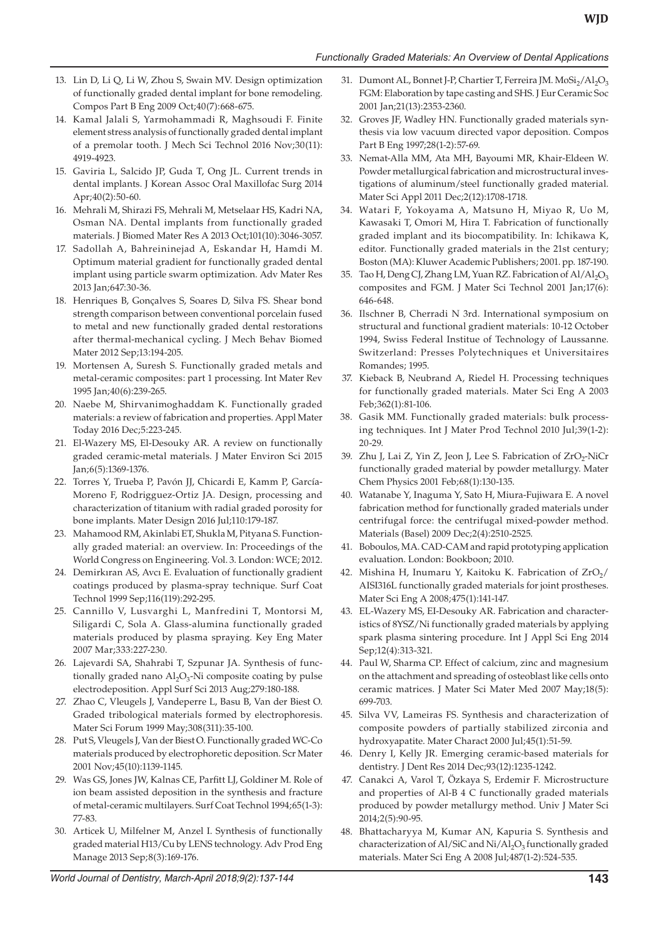- 13. Lin D, Li Q, Li W, Zhou S, Swain MV. Design optimization of functionally graded dental implant for bone remodeling. Compos Part B Eng 2009 Oct;40(7):668-675.
- 14. Kamal Jalali S, Yarmohammadi R, Maghsoudi F. Finite element stress analysis of functionally graded dental implant of a premolar tooth. J Mech Sci Technol 2016 Nov;30(11): 4919-4923.
- 15. Gaviria L, Salcido JP, Guda T, Ong JL. Current trends in dental implants. J Korean Assoc Oral Maxillofac Surg 2014 Apr;40(2):50-60.
- 16. Mehrali M, Shirazi FS, Mehrali M, Metselaar HS, Kadri NA, Osman NA. Dental implants from functionally graded materials. J Biomed Mater Res A 2013 Oct;101(10):3046-3057.
- 17. Sadollah A, Bahreininejad A, Eskandar H, Hamdi M. Optimum material gradient for functionally graded dental implant using particle swarm optimization. Adv Mater Res 2013 Jan;647:30-36.
- 18. Henriques B, Gonçalves S, Soares D, Silva FS. Shear bond strength comparison between conventional porcelain fused to metal and new functionally graded dental restorations after thermal-mechanical cycling. J Mech Behav Biomed Mater 2012 Sep;13:194-205.
- 19. Mortensen A, Suresh S. Functionally graded metals and metal-ceramic composites: part 1 processing. Int Mater Rev 1995 Jan;40(6):239-265.
- 20. Naebe M, Shirvanimoghaddam K. Functionally graded materials: a review of fabrication and properties. Appl Mater Today 2016 Dec;5:223-245.
- 21. El-Wazery MS, El-Desouky AR. A review on functionally graded ceramic-metal materials. J Mater Environ Sci 2015 Jan;6(5):1369-1376.
- 22. Torres Y, Trueba P, Pavón JJ, Chicardi E, Kamm P, García-Moreno F, Rodrigguez-Ortiz JA. Design, processing and characterization of titanium with radial graded porosity for bone implants. Mater Design 2016 Jul;110:179-187.
- 23. Mahamood RM, Akinlabi ET, Shukla M, Pityana S. Functionally graded material: an overview. In: Proceedings of the World Congress on Engineering. Vol. 3. London: WCE; 2012.
- 24. Demirkıran AS, Avcı E. Evaluation of functionally gradient coatings produced by plasma-spray technique. Surf Coat Technol 1999 Sep;116(119):292-295.
- 25. Cannillo V, Lusvarghi L, Manfredini T, Montorsi M, Siligardi C, Sola A. Glass-alumina functionally graded materials produced by plasma spraying. Key Eng Mater 2007 Mar;333:227-230.
- 26. Lajevardi SA, Shahrabi T, Szpunar JA. Synthesis of functionally graded nano  $\text{Al}_2\text{O}_3$ -Ni composite coating by pulse electrodeposition. Appl Surf Sci 2013 Aug;279:180-188.
- 27. Zhao C, Vleugels J, Vandeperre L, Basu B, Van der Biest O. Graded tribological materials formed by electrophoresis. Mater Sci Forum 1999 May;308(311):35-100.
- 28. Put S, Vleugels J, Van der Biest O. Functionally graded WC-Co materials produced by electrophoretic deposition. Scr Mater 2001 Nov;45(10):1139-1145.
- 29. Was GS, Jones JW, Kalnas CE, Parfitt LJ, Goldiner M. Role of ion beam assisted deposition in the synthesis and fracture of metal-ceramic multilayers. Surf Coat Technol 1994;65(1-3): 77-83.
- 30. Articek U, Milfelner M, Anzel I. Synthesis of functionally graded material H13/Cu by LENS technology. Adv Prod Eng Manage 2013 Sep;8(3):169-176.
- 31. Dumont AL, Bonnet J-P, Chartier T, Ferreira JM.  $M_0Si_2/Al_2O_3$ FGM: Elaboration by tape casting and SHS. J Eur Ceramic Soc 2001 Jan;21(13):2353-2360.
- 32. Groves JF, Wadley HN. Functionally graded materials synthesis via low vacuum directed vapor deposition. Compos Part B Eng 1997;28(1-2):57-69.
- 33. Nemat-Alla MM, Ata MH, Bayoumi MR, Khair-Eldeen W. Powder metallurgical fabrication and microstructural investigations of aluminum/steel functionally graded material. Mater Sci Appl 2011 Dec;2(12):1708-1718.
- 34. Watari F, Yokoyama A, Matsuno H, Miyao R, Uo M, Kawasaki T, Omori M, Hira T. Fabrication of functionally graded implant and its biocompatibility. In: Ichikawa K, editor. Functionally graded materials in the 21st century; Boston (MA): Kluwer Academic Publishers; 2001. pp. 187-190.
- 35. Tao H, Deng CJ, Zhang LM, Yuan RZ. Fabrication of  $\text{Al}/\text{Al}_2\text{O}_3$ composites and FGM. J Mater Sci Technol 2001 Jan;17(6): 646-648.
- 36. Ilschner B, Cherradi N 3rd. International symposium on structural and functional gradient materials: 10-12 October 1994, Swiss Federal Institue of Technology of Laussanne. Switzerland: Presses Polytechniques et Universitaires Romandes; 1995.
- 37. Kieback B, Neubrand A, Riedel H. Processing techniques for functionally graded materials. Mater Sci Eng A 2003 Feb;362(1):81-106.
- 38. Gasik MM. Functionally graded materials: bulk processing techniques. Int J Mater Prod Technol 2010 Jul;39(1-2): 20-29.
- 39. Zhu J, Lai Z, Yin Z, Jeon J, Lee S. Fabrication of  $ZrO<sub>2</sub>-NiCr$ functionally graded material by powder metallurgy. Mater Chem Physics 2001 Feb;68(1):130-135.
- 40. Watanabe Y, Inaguma Y, Sato H, Miura-Fujiwara E. A novel fabrication method for functionally graded materials under centrifugal force: the centrifugal mixed-powder method. Materials (Basel) 2009 Dec;2(4):2510-2525.
- 41. Boboulos, MA. CAD-CAM and rapid prototyping application evaluation. London: Bookboon; 2010.
- 42. Mishina H, Inumaru Y, Kaitoku K. Fabrication of  $ZrO_2$ / AISI316L functionally graded materials for joint prostheses. Mater Sci Eng A 2008;475(1):141-147.
- 43. EL-Wazery MS, EI-Desouky AR. Fabrication and characteristics of 8YSZ/Ni functionally graded materials by applying spark plasma sintering procedure. Int J Appl Sci Eng 2014 Sep;12(4):313-321.
- 44. Paul W, Sharma CP. Effect of calcium, zinc and magnesium on the attachment and spreading of osteoblast like cells onto ceramic matrices. J Mater Sci Mater Med 2007 May;18(5): 699-703.
- 45. Silva VV, Lameiras FS. Synthesis and characterization of composite powders of partially stabilized zirconia and hydroxyapatite. Mater Charact 2000 Jul;45(1):51-59.
- 46. Denry I, Kelly JR. Emerging ceramic-based materials for dentistry. J Dent Res 2014 Dec;93(12):1235-1242.
- 47. Canakci A, Varol T, Özkaya S, Erdemir F. Microstructure and properties of Al-B 4 C functionally graded materials produced by powder metallurgy method. Univ J Mater Sci 2014;2(5):90-95.
- 48. Bhattacharyya M, Kumar AN, Kapuria S. Synthesis and characterization of Al/SiC and Ni/Al<sub>2</sub>O<sub>3</sub> functionally graded materials. Mater Sci Eng A 2008 Jul;487(1-2):524-535.